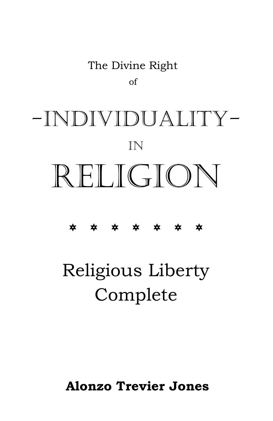## The Divine Right of

# -INDIVIDUALITY-IN RELIGION

## \* \* \* \* \* \* \*

# Religious Liberty Complete

**Alonzo Trevier Jones**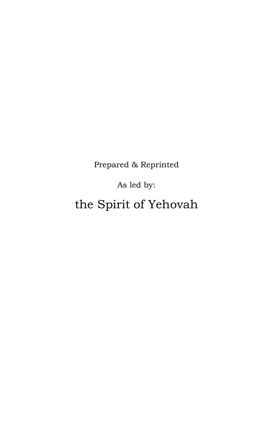Prepared & Reprinted

As led by:

the Spirit of Yehovah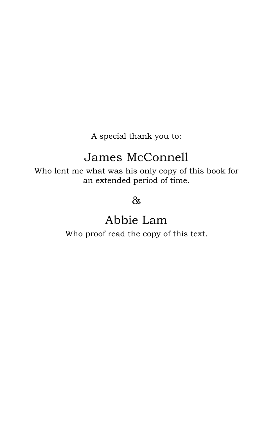A special thank you to:

## James McConnell

Who lent me what was his only copy of this book for an extended period of time.

&

## Abbie Lam

Who proof read the copy of this text.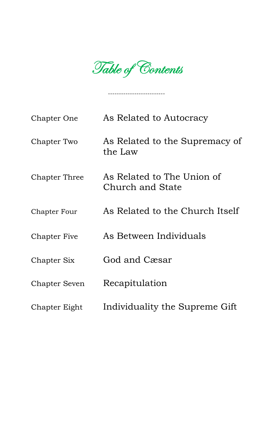Table of Contents

--------------------------

| Chapter One         | As Related to Autocracy                        |
|---------------------|------------------------------------------------|
| Chapter Two         | As Related to the Supremacy of<br>the Law      |
| Chapter Three       | As Related to The Union of<br>Church and State |
| <b>Chapter Four</b> | As Related to the Church Itself                |
| Chapter Five        | As Between Individuals                         |
| Chapter Six         | God and Cæsar                                  |
| Chapter Seven       | Recapitulation                                 |
| Chapter Eight       | Individuality the Supreme Gift                 |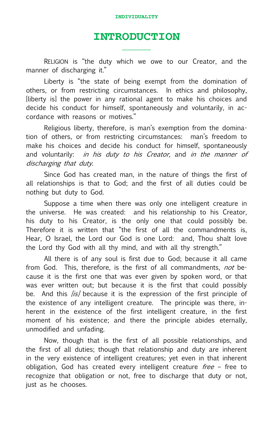### **INTRODUCTION \_\_\_\_\_\_\_\_**

RELIGION is "the duty which we owe to our Creator, and the manner of discharging it."

Liberty is "the state of being exempt from the domination of others, or from restricting circumstances. In ethics and philosophy, [liberty is] the power in any rational agent to make his choices and decide his conduct for himself, spontaneously and voluntarily, in accordance with reasons or motives."

Religious liberty, therefore, is man's exemption from the domination of others, or from restricting circumstances: man's freedom to make his choices and decide his conduct for himself, spontaneously and voluntarily: *in his duty to his Creator*, and *in the manner of* discharging that duty.

Since God has created man, in the nature of things the first of all relationships is that to God; and the first of all duties could be nothing but duty to God.

Suppose a time when there was only one intelligent creature in the universe. He was created: and his relationship to his Creator, his duty to his Creator, is the only one that could possibly be. Therefore it is written that "the first of all the commandments is, Hear, O Israel, the Lord our God is one Lord: and, Thou shalt love the Lord thy God with all thy mind, and with all thy strength."

All there is of any soul is first due to God; because it all came from God. This, therefore, is the first of all commandments, *not* because it is the first one that was ever given by spoken word, or that was ever written out; but because it is the first that could possibly be. And this *[is]* because it is the expression of the first principle of the existence of any intelligent creature. The principle was there, inherent in the existence of the first intelligent creature, in the first moment of his existence; and there the principle abides eternally, unmodified and unfading.

Now, though that is the first of all possible relationships, and the first of all duties; though that relationship and duty are inherent in the very existence of intelligent creatures; yet even in that inherent obligation, God has created every intelligent creature  $free$  – free to recognize that obligation or not, free to discharge that duty or not, just as he chooses.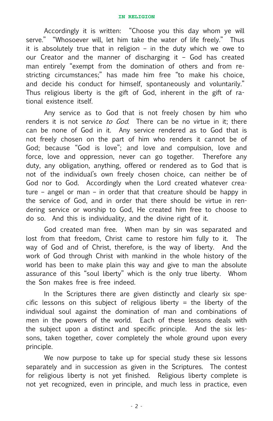Accordingly it is written: "Choose you this day whom ye will serve." "Whosoever will, let him take the water of life freely." Thus it is absolutely true that in religion – in the duty which we owe to our Creator and the manner of discharging it – God has created man entirely "exempt from the domination of others and from restricting circumstances;" has made him free "to make his choice, and decide his conduct for himself, spontaneously and voluntarily." Thus religious liberty is the gift of God, inherent in the gift of rational existence itself.

Any service as to God that is not freely chosen by him who renders it is not service *to God*. There can be no virtue in it; there can be none of God in it. Any service rendered as to God that is not freely chosen on the part of him who renders it cannot be of God; because "God is love"; and love and compulsion, love and force, love and oppression, never can go together. Therefore any duty, any obligation, anything, offered or rendered as to God that is not of the individual's own freely chosen choice, can neither be of God nor to God. Accordingly when the Lord created whatever creature – angel or man – in order that that creature should be happy in the service of God, and in order that there should be virtue in rendering service or worship to God, He created him free to choose to do so. And this is individuality, and the divine right of it.

God created man free. When man by sin was separated and lost from that freedom, Christ came to restore him fully to it. The way of God and of Christ, therefore, is the way of liberty. And the work of God through Christ with mankind in the whole history of the world has been to make plain this way and give to man the absolute assurance of this "soul liberty" which is the only true liberty. Whom the Son makes free is free indeed.

In the Scriptures there are given distinctly and clearly six specific lessons on this subject of religious liberty  $=$  the liberty of the individual soul against the domination of man and combinations of men in the powers of the world. Each of these lessons deals with the subject upon a distinct and specific principle. And the six lessons, taken together, cover completely the whole ground upon every principle.

We now purpose to take up for special study these six lessons separately and in succession as given in the Scriptures. The contest for religious liberty is not yet finished. Religious liberty complete is not yet recognized, even in principle, and much less in practice, even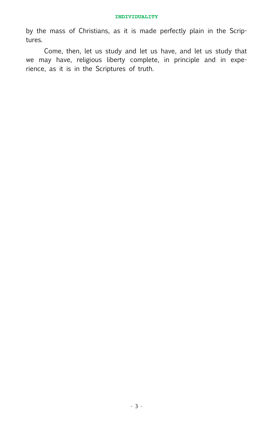by the mass of Christians, as it is made perfectly plain in the Scriptures.

Come, then, let us study and let us have, and let us study that we may have, religious liberty complete, in principle and in experience, as it is in the Scriptures of truth.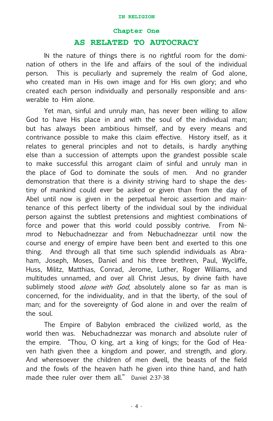#### **Chapter One**

#### **AS RELATED TO AUTOCRACY**

IN the nature of things there is no rightful room for the domination of others in the life and affairs of the soul of the individual person. This is peculiarly and supremely the realm of God alone, who created man in His own image and for His own glory; and who created each person individually and personally responsible and answerable to Him alone.

Yet man, sinful and unruly man, has never been willing to allow God to have His place in and with the soul of the individual man; but has always been ambitious himself, and by every means and contrivance possible to make this claim effective. History itself, as it relates to general principles and not to details, is hardly anything else than a succession of attempts upon the grandest possible scale to make successful this arrogant claim of sinful and unruly man in the place of God to dominate the souls of men. And no grander demonstration that there is a divinity striving hard to shape the destiny of mankind could ever be asked or given than from the day of Abel until now is given in the perpetual heroic assertion and maintenance of this perfect liberty of the individual soul by the individual person against the subtlest pretensions and mightiest combinations of force and power that this world could possibly contrive. From Nimrod to Nebuchadnezzar and from Nebuchadnezzar until now the course and energy of empire have been bent and exerted to this one thing. And through all that time such splendid individuals as Abraham, Joseph, Moses, Daniel and his three brethren, Paul, Wycliffe, Huss, Militz, Matthias, Conrad, Jerome, Luther, Roger Williams, and multitudes unnamed, and over all Christ Jesus, by divine faith have sublimely stood *alone with God*, absolutely alone so far as man is concerned, for the individuality, and in that the liberty, of the soul of man; and for the sovereignty of God alone in and over the realm of the soul.

The Empire of Babylon embraced the civilized world, as the world then was. Nebuchadnezzar was monarch and absolute ruler of the empire. "Thou, O king, art a king of kings; for the God of Heaven hath given thee a kingdom and power, and strength, and glory. And wheresoever the children of men dwell, the beasts of the field and the fowls of the heaven hath he given into thine hand, and hath made thee ruler over them all." Daniel 2:37-38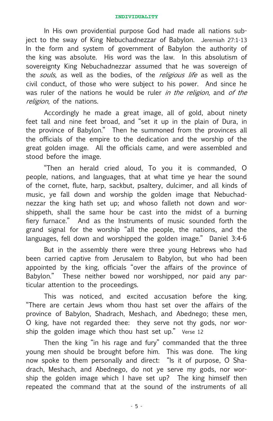In His own providential purpose God had made all nations subject to the sway of King Nebuchadnezzar of Babylon. Jeremiah 27:1-13 In the form and system of government of Babylon the authority of the king was absolute. His word was the law. In this absolutism of sovereignty King Nebuchadnezzar assumed that he was sovereign of the souls, as well as the bodies, of the *religious life* as well as the civil conduct, of those who were subject to his power. And since he was ruler of the nations he would be ruler in the religion, and of the religion, of the nations.

Accordingly he made a great image, all of gold, about ninety feet tall and nine feet broad, and "set it up in the plain of Dura, in the province of Babylon." Then he summoned from the provinces all the officials of the empire to the dedication and the worship of the great golden image. All the officials came, and were assembled and stood before the image.

"Then an herald cried aloud, To you it is commanded, O people, nations, and languages, that at what time ye hear the sound of the cornet, flute, harp, sackbut, psaltery, dulcimer, and all kinds of music, ye fall down and worship the golden image that Nebuchadnezzar the king hath set up; and whoso falleth not down and worshippeth, shall the same hour be cast into the midst of a burning fiery furnace." And as the Instruments of music sounded forth the grand signal for the worship "all the people, the nations, and the languages, fell down and worshipped the golden image." Daniel 3:4-6

But in the assembly there were three young Hebrews who had been carried captive from Jerusalem to Babylon, but who had been appointed by the king, officials "over the affairs of the province of Babylon." These neither bowed nor worshipped, nor paid any particular attention to the proceedings.

This was noticed, and excited accusation before the king. "There are certain Jews whom thou hast set over the affairs of the province of Babylon, Shadrach, Meshach, and Abednego; these men, O king, have not regarded thee: they serve not thy gods, nor worship the golden image which thou hast set up." Verse 12

Then the king "in his rage and fury" commanded that the three young men should be brought before him. This was done. The king now spoke to them personally and direct: "Is it of purpose, O Shadrach, Meshach, and Abednego, do not ye serve my gods, nor worship the golden image which I have set up? The king himself then repeated the command that at the sound of the instruments of all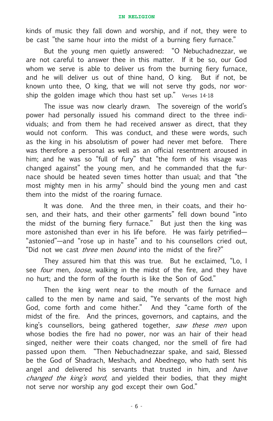kinds of music they fall down and worship, and if not, they were to be cast "the same hour into the midst of a burning fiery furnace."

But the young men quietly answered: "O Nebuchadnezzar, we are not careful to answer thee in this matter. If it be so, our God whom we serve is able to deliver us from the burning fiery furnace, and he will deliver us out of thine hand, O king. But if not, be known unto thee, O king, that we will not serve thy gods, nor worship the golden image which thou hast set up." Verses 14-18

The issue was now clearly drawn. The sovereign of the world's power had personally issued his command direct to the three individuals; and from them he had received answer as direct, that they would not conform. This was conduct, and these were words, such as the king in his absolutism of power had never met before. There was therefore a personal as well as an official resentment aroused in him; and he was so "full of fury" that "the form of his visage was changed against" the young men, and he commanded that the furnace should be heated seven times hotter than usual; and that "the most mighty men in his army" should bind the young men and cast them into the midst of the roaring furnace.

It was done. And the three men, in their coats, and their hosen, and their hats, and their other garments" fell down bound "into the midst of the burning fiery furnace." But just then the king was more astonished than ever in his life before. He was fairly petrified— "astonied"—and "rose up in haste" and to his counsellors cried out, "Did not we cast *three* men *bound* into the midst of the fire?"

They assured him that this was true. But he exclaimed, "Lo, I see *four* men, *loose*, walking in the midst of the fire, and they have no hurt; and the form of the fourth is like the Son of God."

Then the king went near to the mouth of the furnace and called to the men by name and said, "Ye servants of the most high God, come forth and come hither." And they "came forth of the midst of the fire. And the princes, governors, and captains, and the king's counsellors, being gathered together, saw these men upon whose bodies the fire had no power, nor was an hair of their head singed, neither were their coats changed, nor the smell of fire had passed upon them. "Then Nebuchadnezzar spake, and said, Blessed be the God of Shadrach, Meshach, and Abednego, who hath sent his angel and delivered his servants that trusted in him, and have changed the king's word, and yielded their bodies, that they might not serve nor worship any god except their own God."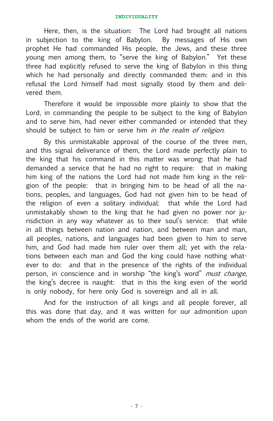Here, then, is the situation: The Lord had brought all nations in subjection to the king of Babylon. By messages of His own prophet He had commanded His people, the Jews, and these three young men among them, to "serve the king of Babylon." Yet these three had explicitly refused to serve the king of Babylon in this thing which he had personally and directly commanded them: and in this refusal the Lord himself had most signally stood by them and delivered them.

Therefore it would be impossible more plainly to show that the Lord, in commanding the people to be subject to the king of Babylon and to serve him, had never either commanded or intended that they should be subject to him or serve him in the realm of religion.

By this unmistakable approval of the course of the three men, and this signal deliverance of them, the Lord made perfectly plain to the king that his command in this matter was wrong: that he had demanded a service that he had no right to require: that in making him king of the nations the Lord had not made him king in the religion of the people: that in bringing him to be head of all the nations, peoples, and languages, God had not given him to be head of the religion of even a solitary individual: that while the Lord had unmistakably shown to the king that he had given no power nor jurisdiction in any way whatever as to their soul's service: that while in all things between nation and nation, and between man and man, all peoples, nations, and languages had been given to him to serve him, and God had made him ruler over them all; yet with the relations between each man and God the king could have nothing whatever to do: and that in the presence of the rights of the individual person, in conscience and in worship "the king's word" *must change*, the king's decree is naught: that in this the king even of the world is only nobody, for here only God is sovereign and all in all.

And for the instruction of all kings and all people forever, all this was done that day, and it was written for our admonition upon whom the ends of the world are come.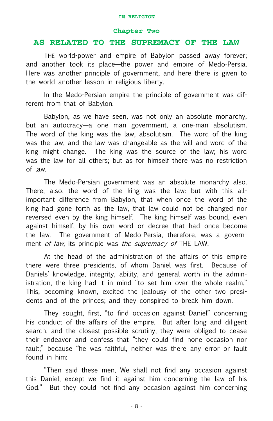#### **Chapter Two**

#### **AS RELATED TO THE SUPREMACY OF THE LAW**

THE world-power and empire of Babylon passed away forever; and another took its place—the power and empire of Medo-Persia. Here was another principle of government, and here there is given to the world another lesson in religious liberty.

In the Medo-Persian empire the principle of government was different from that of Babylon.

Babylon, as we have seen, was not only an absolute monarchy, but an autocracy—a one man government, a one-man absolutism. The word of the king was the law, absolutism. The word of the king was the law, and the law was changeable as the will and word of the king might change. The king was the source of the law; his word was the law for all others; but as for himself there was no restriction of law.

The Medo-Persian government was an absolute monarchy also. There, also, the word of the king was the law: but with this allimportant difference from Babylon, that when once the word of the king had gone forth as the law, that law could not be changed nor reversed even by the king himself. The king himself was bound, even against himself, by his own word or decree that had once become the law. The government of Medo-Persia, therefore, was a government of law; its principle was the supremacy of THE LAW.

At the head of the administration of the affairs of this empire there were three presidents, of whom Daniel was first. Because of Daniels' knowledge, integrity, ability, and general worth in the administration, the king had it in mind "to set him over the whole realm." This, becoming known, excited the jealousy of the other two presidents and of the princes; and they conspired to break him down.

They sought, first, "to find occasion against Daniel" concerning his conduct of the affairs of the empire. But after long and diligent search, and the closest possible scrutiny, they were obliged to cease their endeavor and confess that "they could find none occasion nor fault;" because "he was faithful, neither was there any error or fault found in him:

"Then said these men, We shall not find any occasion against this Daniel, except we find it against him concerning the law of his God." But they could not find any occasion against him concerning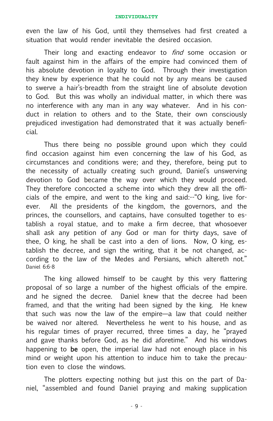even the law of his God, until they themselves had first created a situation that would render inevitable the desired occasion.

Their long and exacting endeavor to *find* some occasion or fault against him in the affairs of the empire had convinced them of his absolute devotion in loyalty to God. Through their investigation they knew by experience that he could not by any means be caused to swerve a hair's-breadth from the straight line of absolute devotion to God. But this was wholly an individual matter, in which there was no interference with any man in any way whatever. And in his conduct in relation to others and to the State, their own consciously prejudiced investigation had demonstrated that it was actually beneficial.

Thus there being no possible ground upon which they could find occasion against him even concerning the law of his God, as circumstances and conditions were; and they, therefore, being put to the necessity of actually creating such ground, Daniel's unswerving devotion to God became the way over which they would proceed. They therefore concocted a scheme into which they drew all the officials of the empire, and went to the king and said:--"O king, live forever. All the presidents of the kingdom, the governors, and the princes, the counsellors, and captains, have consulted together to establish a royal statue, and to make a firm decree, that whosoever shall ask any petition of any God or man for thirty days, save of thee, O king, he shall be cast into a den of lions. Now, O king, establish the decree, and sign the writing, that it be not changed, according to the law of the Medes and Persians, which altereth not." Daniel 6:6-8

The king allowed himself to be caught by this very flattering proposal of so large a number of the highest officials of the empire. and he signed the decree. Daniel knew that the decree had been framed, and that the writing had been signed by the king. He knew that such was now the law of the empire—a law that could neither be waived nor altered. Nevertheless he went to his house, and as his regular times of prayer recurred, three times a day, he "prayed and gave thanks before God, as he did aforetime." And his windows happening to be open, the imperial law had not enough place in his mind or weight upon his attention to induce him to take the precaution even to close the windows.

The plotters expecting nothing but just this on the part of Daniel, "assembled and found Daniel praying and making supplication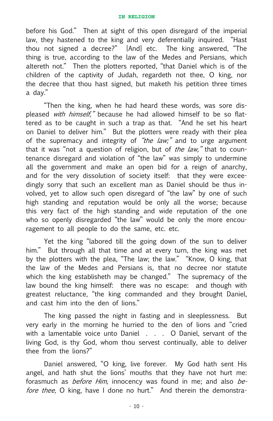before his God." Then at sight of this open disregard of the imperial law, they hastened to the king and very deferentially inquired. "Hast thou not signed a decree?" [And] etc. The king answered, "The thing is true, according to the law of the Medes and Persians, which altereth not." Then the plotters reported, "that Daniel which is of the children of the captivity of Judah, regardeth not thee, O king, nor the decree that thou hast signed, but maketh his petition three times a day."

"Then the king, when he had heard these words, was sore displeased with himself," because he had allowed himself to be so flattered as to be caught in such a trap as that. "And he set his heart on Daniel to deliver him." But the plotters were ready with their plea of the supremacy and integrity of "the law;" and to urge argument that it was "not a question of religion, but of the law," that to countenance disregard and violation of "the law" was simply to undermine all the government and make an open bid for a reign of anarchy, and for the very dissolution of society itself: that they were exceedingly sorry that such an excellent man as Daniel should be thus involved, yet to allow such open disregard of "the law" by one of such high standing and reputation would be only all the worse; because this very fact of the high standing and wide reputation of the one who so openly disregarded "the law" would be only the more encouragement to all people to do the same, etc. etc.

Yet the king "labored till the going down of the sun to deliver him." But through all that time and at every turn, the king was met by the plotters with the plea, "The law; the law." "Know, O king, that the law of the Medes and Persians is, that no decree nor statute which the king establisheth may be changed." The supremacy of the law bound the king himself: there was no escape: and though with greatest reluctance, "the king commanded and they brought Daniel, and cast him into the den of lions."

The king passed the night in fasting and in sleeplessness. But very early in the morning he hurried to the den of lions and "cried with a lamentable voice unto Daniel . . . O Daniel, servant of the living God, is thy God, whom thou servest continually, able to deliver thee from the lions?"

Daniel answered, "O king, live forever. My God hath sent His angel, and hath shut the lions' mouths that they have not hurt me: forasmuch as *before Him*, innocency was found in me; and also before thee, O king, have I done no hurt." And therein the demonstra-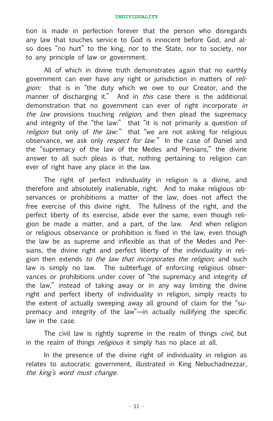tion is made in perfection forever that the person who disregards any law that touches service to God is innocent before God, and also does "no hurt" to the king, nor to the State, nor to society, nor to any principle of law or government.

All of which in divine truth demonstrates again that no earthly government can ever have any right or jurisdiction in matters of *reli*gion: that is in "the duty which we owe to our Creator, and the manner of discharging it." And in this case there is the additional demonstration that no government can ever of right incorporate in the law provisions touching religion, and then plead the supremacy and integrity of the "the law:" that "it is not primarily a question of religion but only of the law:" that "we are not asking for religious observance, we ask only *respect for law*." In the case of Daniel and the "supremacy of the law of the Medes and Persians," the divine answer to all such pleas is that, nothing pertaining to religion can ever of right have any place in the law.

The right of perfect individuality in religion is a divine, and therefore and absolutely inalienable, right. And to make religious observances or prohibitions a matter of the law, does not affect the free exercise of this divine right. The fullness of the right, and the perfect liberty of its exercise, abide ever the same, even though religion be made a matter, and a part, of the law. And when religion or religious observance or prohibition is fixed in the law, even though the law be as supreme and inflexible as that of the Medes and Persians, the divine right and perfect liberty of the individuality in religion then extends to the law that incorporates the religion, and such law is simply no law. The subterfuge of enforcing religious observances or prohibitions under cover of "the supremacy and integrity of the law," instead of taking away or in any way limiting the divine right and perfect liberty of individuality in religion, simply reacts to the extent of actually sweeping away all ground of claim for the "supremacy and integrity of the law"—in actually nullifying the specific law in the case.

The civil law is rightly supreme in the realm of things *civil*, but in the realm of things *religious* it simply has no place at all.

In the presence of the divine right of individuality in religion as relates to autocratic government, illustrated in King Nebuchadnezzar, the king's word must change.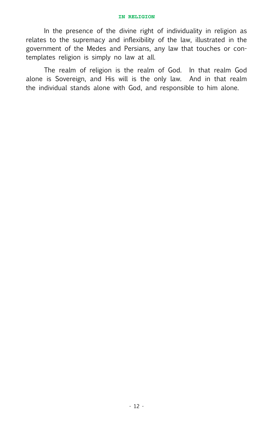In the presence of the divine right of individuality in religion as relates to the supremacy and inflexibility of the law, illustrated in the government of the Medes and Persians, any law that touches or contemplates religion is simply no law at all.

The realm of religion is the realm of God. In that realm God alone is Sovereign, and His will is the only law. And in that realm the individual stands alone with God, and responsible to him alone.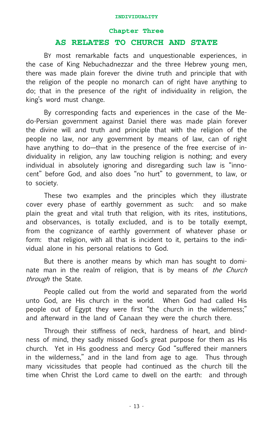#### **Chapter Three**

#### **AS RELATES TO CHURCH AND STATE**

BY most remarkable facts and unquestionable experiences, in the case of King Nebuchadnezzar and the three Hebrew young men, there was made plain forever the divine truth and principle that with the religion of the people no monarch can of right have anything to do; that in the presence of the right of individuality in religion, the king's word must change.

By corresponding facts and experiences in the case of the Medo-Persian government against Daniel there was made plain forever the divine will and truth and principle that with the religion of the people no law, nor any government by means of law, can of right have anything to do—that in the presence of the free exercise of individuality in religion, any law touching religion is nothing; and every individual in absolutely ignoring and disregarding such law is "innocent" before God, and also does "no hurt" to government, to law, or to society.

These two examples and the principles which they illustrate cover every phase of earthly government as such: and so make plain the great and vital truth that religion, with its rites, institutions, and observances, is totally excluded, and is to be totally exempt, from the cognizance of earthly government of whatever phase or form: that religion, with all that is incident to it, pertains to the individual alone in his personal relations to God.

But there is another means by which man has sought to dominate man in the realm of religion, that is by means of the Church through the State.

People called out from the world and separated from the world unto God, are His church in the world. When God had called His people out of Egypt they were first "the church in the wilderness;" and afterward in the land of Canaan they were the church there.

Through their stiffness of neck, hardness of heart, and blindness of mind, they sadly missed God's great purpose for them as His church. Yet in His goodness and mercy God "suffered their manners in the wilderness," and in the land from age to age. Thus through many vicissitudes that people had continued as the church till the time when Christ the Lord came to dwell on the earth: and through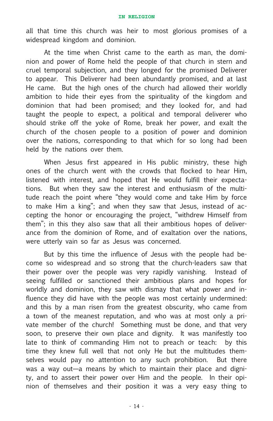all that time this church was heir to most glorious promises of a widespread kingdom and dominion.

At the time when Christ came to the earth as man, the dominion and power of Rome held the people of that church in stern and cruel temporal subjection, and they longed for the promised Deliverer to appear. This Deliverer had been abundantly promised, and at last He came. But the high ones of the church had allowed their worldly ambition to hide their eyes from the spirituality of the kingdom and dominion that had been promised; and they looked for, and had taught the people to expect, a political and temporal deliverer who should strike off the yoke of Rome, break her power, and exalt the church of the chosen people to a position of power and dominion over the nations, corresponding to that which for so long had been held by the nations over them.

When Jesus first appeared in His public ministry, these high ones of the church went with the crowds that flocked to hear Him, listened with interest, and hoped that He would fulfill their expectations. But when they saw the interest and enthusiasm of the multitude reach the point where "they would come and take Him by force to make Him a king"; and when they saw that Jesus, instead of accepting the honor or encouraging the project, "withdrew Himself from them"; in this they also saw that all their ambitious hopes of deliverance from the dominion of Rome, and of exaltation over the nations, were utterly vain so far as Jesus was concerned.

But by this time the influence of Jesus with the people had become so widespread and so strong that the church-leaders saw that their power over the people was very rapidly vanishing. Instead of seeing fulfilled or sanctioned their ambitious plans and hopes for worldly and dominion, they saw with dismay that what power and influence they did have with the people was most certainly undermined: and this by a man risen from the greatest obscurity, who came from a town of the meanest reputation, and who was at most only a private member of the church! Something must be done, and that very soon, to preserve their own place and dignity. It was manifestly too late to think of commanding Him not to preach or teach: by this time they knew full well that not only He but the multitudes themselves would pay no attention to any such prohibition. But there was a way out—a means by which to maintain their place and dignity, and to assert their power over Him and the people. In their opinion of themselves and their position it was a very easy thing to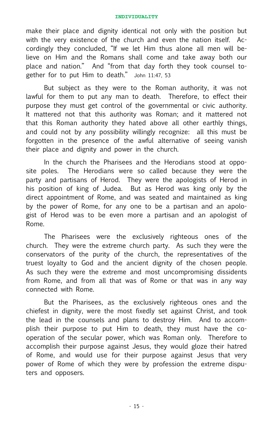make their place and dignity identical not only with the position but with the very existence of the church and even the nation itself. Accordingly they concluded, "If we let Him thus alone all men will believe on Him and the Romans shall come and take away both our place and nation." And "from that day forth they took counsel together for to put Him to death." John 11:47, 53

But subject as they were to the Roman authority, it was not lawful for them to put any man to death. Therefore, to effect their purpose they must get control of the governmental or civic authority. It mattered not that this authority was Roman; and it mattered not that this Roman authority they hated above all other earthly things, and could not by any possibility willingly recognize: all this must be forgotten in the presence of the awful alternative of seeing vanish their place and dignity and power in the church.

In the church the Pharisees and the Herodians stood at opposite poles. The Herodians were so called because they were the party and partisans of Herod. They were the apologists of Herod in his position of king of Judea. But as Herod was king only by the direct appointment of Rome, and was seated and maintained as king by the power of Rome, for any one to be a partisan and an apologist of Herod was to be even more a partisan and an apologist of Rome.

The Pharisees were the exclusively righteous ones of the church. They were the extreme church party. As such they were the conservators of the purity of the church, the representatives of the truest loyalty to God and the ancient dignity of the chosen people. As such they were the extreme and most uncompromising dissidents from Rome, and from all that was of Rome or that was in any way connected with Rome.

But the Pharisees, as the exclusively righteous ones and the chiefest in dignity, were the most fixedly set against Christ, and took the lead in the counsels and plans to destroy Him. And to accomplish their purpose to put Him to death, they must have the cooperation of the secular power, which was Roman only. Therefore to accomplish their purpose against Jesus, they would gloze their hatred of Rome, and would use for their purpose against Jesus that very power of Rome of which they were by profession the extreme disputers and opposers.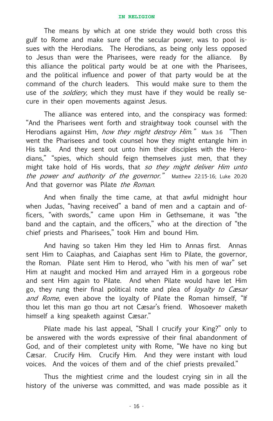The means by which at one stride they would both cross this gulf to Rome and make sure of the secular power, was to pool issues with the Herodians. The Herodians, as being only less opposed to Jesus than were the Pharisees, were ready for the alliance. By this alliance the political party would be at one with the Pharisees, and the political influence and power of that party would be at the command of the church leaders. This would make sure to them the use of the *soldiery*, which they must have if they would be really secure in their open movements against Jesus.

The alliance was entered into, and the conspiracy was formed: "And the Pharisees went forth and straightway took counsel with the Herodians against Him, *how they might destroy Him.*" Mark 3:6 "Then went the Pharisees and took counsel how they might entangle him in His talk. And they sent out unto him their disciples with the Herodians," "spies, which should feign themselves just men, that they might take hold of His words, that so they might deliver Him unto the power and authority of the governor." Matthew 22:15-16; Luke 20:20 And that governor was Pilate the Roman.

And when finally the time came, at that awful midnight hour when Judas, "having received" a band of men and a captain and officers, "with swords," came upon Him in Gethsemane, it was "the band and the captain, and the officers," who at the direction of "the chief priests and Pharisees," took Him and bound Him.

And having so taken Him they led Him to Annas first. Annas sent Him to Caiaphas, and Caiaphas sent Him to Pilate, the governor, the Roman. Pilate sent Him to Herod, who "with his men of war" set Him at naught and mocked Him and arrayed Him in a gorgeous robe and sent Him again to Pilate. And when Pilate would have let Him go, they rung their final political note and plea of *loyalty to Cæsar* and Rome, even above the loyalty of Pilate the Roman himself, "If thou let this man go thou art not Cæsar's friend. Whosoever maketh himself a king speaketh against Cæsar."

Pilate made his last appeal, "Shall I crucify your King?" only to be answered with the words expressive of their final abandonment of God, and of their completest unity with Rome, "We have no king but Cæsar. Crucify Him. Crucify Him. And they were instant with loud voices. And the voices of them and of the chief priests prevailed."

Thus the mightiest crime and the loudest crying sin in all the history of the universe was committed, and was made possible as it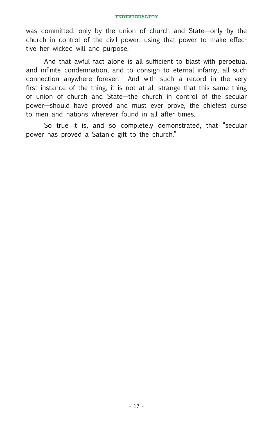was committed, only by the union of church and State—only by the church in control of the civil power, using that power to make effective her wicked will and purpose.

And that awful fact alone is all sufficient to blast with perpetual and infinite condemnation, and to consign to eternal infamy, all such connection anywhere forever. And with such a record in the very first instance of the thing, it is not at all strange that this same thing of union of church and State—the church in control of the secular power—should have proved and must ever prove, the chiefest curse to men and nations wherever found in all after times.

So true it is, and so completely demonstrated, that "secular power has proved a Satanic gift to the church."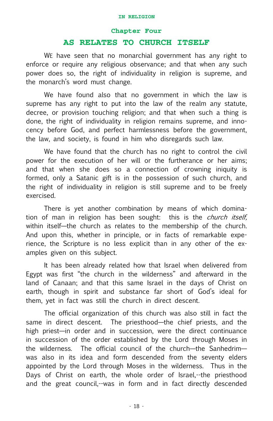#### **Chapter Four**

#### **AS RELATES TO CHURCH ITSELF**

WE have seen that no monarchial government has any right to enforce or require any religious observance; and that when any such power does so, the right of individuality in religion is supreme, and the monarch's word must change.

We have found also that no government in which the law is supreme has any right to put into the law of the realm any statute, decree, or provision touching religion; and that when such a thing is done, the right of individuality in religion remains supreme, and innocency before God, and perfect harmlessness before the government, the law, and society, is found in him who disregards such law.

We have found that the church has no right to control the civil power for the execution of her will or the furtherance or her aims; and that when she does so a connection of crowning iniquity is formed, only a Satanic gift is in the possession of such church, and the right of individuality in religion is still supreme and to be freely exercised.

There is yet another combination by means of which domination of man in religion has been sought: this is the *church itself*. within itself—the church as relates to the membership of the church. And upon this, whether in principle, or in facts of remarkable experience, the Scripture is no less explicit than in any other of the examples given on this subject.

It has been already related how that Israel when delivered from Egypt was first "the church in the wilderness" and afterward in the land of Canaan; and that this same Israel in the days of Christ on earth, though in spirit and substance far short of God's ideal for them, yet in fact was still the church in direct descent.

The official organization of this church was also still in fact the same in direct descent. The priesthood—the chief priests, and the high priest—in order and in succession, were the direct continuance in succession of the order established by the Lord through Moses in the wilderness. The official council of the church—the Sanhedrim was also in its idea and form descended from the seventy elders appointed by the Lord through Moses in the wilderness. Thus in the Days of Christ on earth, the whole order of Israel,--the priesthood and the great council,--was in form and in fact directly descended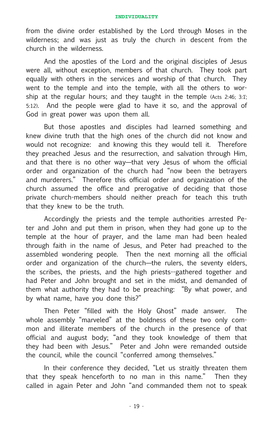from the divine order established by the Lord through Moses in the wilderness; and was just as truly the church in descent from the church in the wilderness.

And the apostles of the Lord and the original disciples of Jesus were all, without exception, members of that church. They took part equally with others in the services and worship of that church. They went to the temple and into the temple, with all the others to worship at the regular hours; and they taught in the temple (Acts 2:46; 3:1; 5:12). And the people were glad to have it so, and the approval of God in great power was upon them all.

But those apostles and disciples had learned something and knew divine truth that the high ones of the church did not know and would not recognize: and knowing this they would tell it. Therefore they preached Jesus and the resurrection, and salvation through Him, and that there is no other way—that very Jesus of whom the official order and organization of the church had "now been the betrayers and murderers." Therefore this official order and organization of the church assumed the office and prerogative of deciding that those private church-members should neither preach for teach this truth that they knew to be the truth.

Accordingly the priests and the temple authorities arrested Peter and John and put them in prison, when they had gone up to the temple at the hour of prayer, and the lame man had been healed through faith in the name of Jesus, and Peter had preached to the assembled wondering people. Then the next morning all the official order and organization of the church—the rulers, the seventy elders, the scribes, the priests, and the high priests--gathered together and had Peter and John brought and set in the midst, and demanded of them what authority they had to be preaching: "By what power, and by what name, have you done this?"

Then Peter "filled with the Holy Ghost" made answer. The whole assembly "marveled" at the boldness of these two only common and illiterate members of the church in the presence of that official and august body; "and they took knowledge of them that they had been with Jesus." Peter and John were remanded outside the council, while the council "conferred among themselves."

In their conference they decided, "Let us straitly threaten them that they speak henceforth to no man in this name." Then they called in again Peter and John "and commanded them not to speak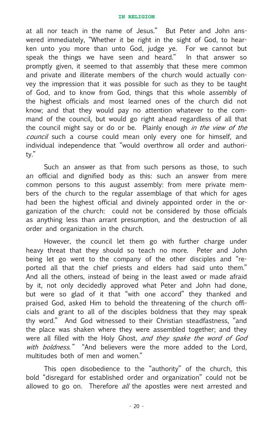at all nor teach in the name of Jesus." But Peter and John answered immediately, "Whether it be right in the sight of God, to hearken unto you more than unto God, judge ye. For we cannot but speak the things we have seen and heard." In that answer so promptly given, it seemed to that assembly that these mere common and private and illiterate members of the church would actually convey the impression that it was possible for such as they to be taught of God, and to know from God, things that this whole assembly of the highest officials and most learned ones of the church did not know; and that they would pay no attention whatever to the command of the council, but would go right ahead regardless of all that the council might say or do or be. Plainly enough in the view of the council such a course could mean only every one for himself, and individual independence that "would overthrow all order and authority."

Such an answer as that from such persons as those, to such an official and dignified body as this: such an answer from mere common persons to this august assembly: from mere private members of the church to the regular assemblage of that which for ages had been the highest official and divinely appointed order in the organization of the church: could not be considered by those officials as anything less than arrant presumption, and the destruction of all order and organization in the church.

However, the council let them go with further charge under heavy threat that they should so teach no more. Peter and John being let go went to the company of the other disciples and "reported all that the chief priests and elders had said unto them." And all the others, instead of being in the least awed or made afraid by it, not only decidedly approved what Peter and John had done, but were so glad of it that "with one accord" they thanked and praised God, asked Him to behold the threatening of the church officials and grant to all of the disciples boldness that they may speak thy word." And God witnessed to their Christian steadfastness, "and the place was shaken where they were assembled together; and they were all filled with the Holy Ghost, and they spake the word of God with boldness." "And believers were the more added to the Lord, multitudes both of men and women."

This open disobedience to the "authority" of the church, this bold "disregard for established order and organization" could not be allowed to go on. Therefore  $all$  the apostles were next arrested and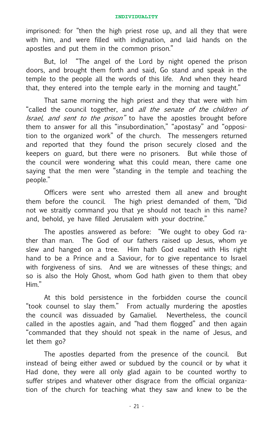imprisoned: for "then the high priest rose up, and all they that were with him, and were filled with indignation, and laid hands on the apostles and put them in the common prison."

But, lo! "The angel of the Lord by night opened the prison doors, and brought them forth and said, Go stand and speak in the temple to the people all the words of this life. And when they heard that, they entered into the temple early in the morning and taught."

That same morning the high priest and they that were with him "called the council together, and all the senate of the children of Israel, and sent to the prison" to have the apostles brought before them to answer for all this "insubordination," "apostasy" and "opposition to the organized work" of the church. The messengers returned and reported that they found the prison securely closed and the keepers on guard, but there were no prisoners. But while those of the council were wondering what this could mean, there came one saying that the men were "standing in the temple and teaching the people."

Officers were sent who arrested them all anew and brought them before the council. The high priest demanded of them, "Did not we straitly command you that ye should not teach in this name? and, behold, ye have filled Jerusalem with your doctrine."

The apostles answered as before: "We ought to obey God rather than man. The God of our fathers raised up Jesus, whom ye slew and hanged on a tree. Him hath God exalted with His right hand to be a Prince and a Saviour, for to give repentance to Israel with forgiveness of sins. And we are witnesses of these things; and so is also the Holy Ghost, whom God hath given to them that obey Him."

At this bold persistence in the forbidden course the council "took counsel to slay them." From actually murdering the apostles the council was dissuaded by Gamaliel. Nevertheless, the council called in the apostles again, and "had them flogged" and then again "commanded that they should not speak in the name of Jesus, and let them go?

The apostles departed from the presence of the council. But instead of being either awed or subdued by the council or by what it Had done, they were all only glad again to be counted worthy to suffer stripes and whatever other disgrace from the official organization of the church for teaching what they saw and knew to be the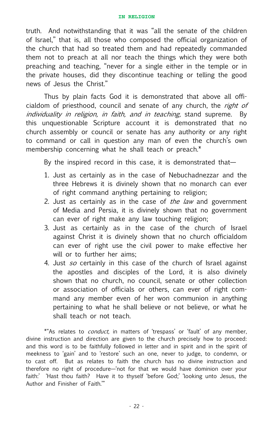truth. And notwithstanding that it was "all the senate of the children of Israel," that is, all those who composed the official organization of the church that had so treated them and had repeatedly commanded them not to preach at all nor teach the things which they were both preaching and teaching, "never for a single either in the temple or in the private houses, did they discontinue teaching or telling the good news of Jesus the Christ."

Thus by plain facts God it is demonstrated that above all officialdom of priesthood, council and senate of any church, the right of individuality in religion, in faith, and in teaching, stand supreme. By this unquestionable Scripture account it is demonstrated that no church assembly or council or senate has any authority or any right to command or call in question any man of even the church's own membership concerning what he shall teach or preach.\*

By the inspired record in this case, it is demonstrated that—

- 1. Just as certainly as in the case of Nebuchadnezzar and the three Hebrews it is divinely shown that no monarch can ever of right command anything pertaining to religion;
- 2. Just as certainly as in the case of the law and government of Media and Persia, it is divinely shown that no government can ever of right make any law touching religion;
- 3. Just as certainly as in the case of the church of Israel against Christ it is divinely shown that no church officialdom can ever of right use the civil power to make effective her will or to further her aims;
- 4. Just so certainly in this case of the church of Israel against the apostles and disciples of the Lord, it is also divinely shown that no church, no council, senate or other collection or association of officials or others, can ever of right command any member even of her won communion in anything pertaining to what he shall believe or not believe, or what he shall teach or not teach.

\*"As relates to *conduct*, in matters of 'trespass' or 'fault' of any member, divine instruction and direction are given to the church precisely how to proceed: and this word is to be faithfully followed in letter and in spirit and in the spirit of meekness to 'gain' and to 'restore' such an one, never to judge, to condemn, or to cast off. But as relates to faith the church has no divine instruction and therefore no right of procedure—'not for that we would have dominion over your faith:' 'Hast thou faith? Have it to thyself 'before God;' 'looking unto Jesus, the Author and Finisher of Faith.'"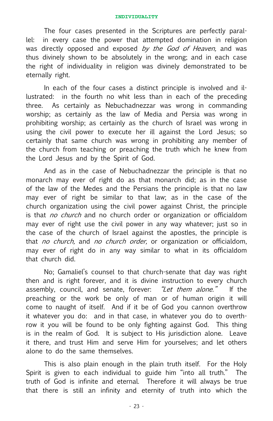The four cases presented in the Scriptures are perfectly parallel: in every case the power that attempted domination in religion was directly opposed and exposed by the God of Heaven, and was thus divinely shown to be absolutely in the wrong; and in each case the right of individuality in religion was divinely demonstrated to be eternally right.

In each of the four cases a distinct principle is involved and illustrated: in the fourth no whit less than in each of the preceding three. As certainly as Nebuchadnezzar was wrong in commanding worship; as certainly as the law of Media and Persia was wrong in prohibiting worship; as certainly as the church of Israel was wrong in using the civil power to execute her ill against the Lord Jesus; so certainly that same church was wrong in prohibiting any member of the church from teaching or preaching the truth which he knew from the Lord Jesus and by the Spirit of God.

And as in the case of Nebuchadnezzar the principle is that no monarch may ever of right do as that monarch did; as in the case of the law of the Medes and the Persians the principle is that no law may ever of right be similar to that law; as in the case of the church organization using the civil power against Christ, the principle is that *no church* and no church order or organization or officialdom may ever of right use the civil power in any way whatever; just so in the case of the church of Israel against the apostles, the principle is that no church, and no church order, or organization or officialdom, may ever of right do in any way similar to what in its officialdom that church did.

No; Gamaliel's counsel to that church-senate that day was right then and is right forever, and it is divine instruction to every church assembly, council, and senate, forever: "Let them alone." If the preaching or the work be only of man or of human origin it will come to naught of itself. And if it be of God you cannon overthrow it whatever you do: and in that case, in whatever you do to overthrow it you will be found to be only fighting against God. This thing is in the realm of God. It is subject to His jurisdiction alone. Leave it there, and trust Him and serve Him for yourselves; and let others alone to do the same themselves.

This is also plain enough in the plain truth itself. For the Holy Spirit is given to each individual to guide him "into all truth." The truth of God is infinite and eternal. Therefore it will always be true that there is still an infinity and eternity of truth into which the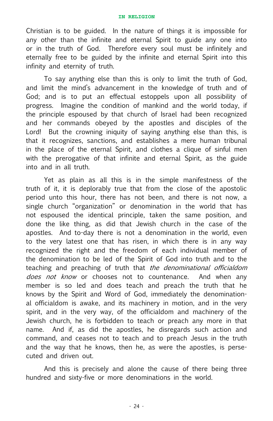Christian is to be guided. In the nature of things it is impossible for any other than the infinite and eternal Spirit to guide any one into or in the truth of God. Therefore every soul must be infinitely and eternally free to be guided by the infinite and eternal Spirit into this infinity and eternity of truth.

To say anything else than this is only to limit the truth of God, and limit the mind's advancement in the knowledge of truth and of God; and is to put an effectual estoppels upon all possibility of progress. Imagine the condition of mankind and the world today, if the principle espoused by that church of Israel had been recognized and her commands obeyed by the apostles and disciples of the Lord! But the crowning iniquity of saying anything else than this, is that it recognizes, sanctions, and establishes a mere human tribunal in the place of the eternal Spirit, and clothes a clique of sinful men with the prerogative of that infinite and eternal Spirit, as the guide into and in all truth.

Yet as plain as all this is in the simple manifestness of the truth of it, it is deplorably true that from the close of the apostolic period unto this hour, there has not been, and there is not now, a single church "organization" or denomination in the world that has not espoused the identical principle, taken the same position, and done the like thing, as did that Jewish church in the case of the apostles. And to-day there is not a denomination in the world, even to the very latest one that has risen, in which there is in any way recognized the right and the freedom of each individual member of the denomination to be led of the Spirit of God into truth and to the teaching and preaching of truth that the denominational officialdom does not know or chooses not to countenance. And when any member is so led and does teach and preach the truth that he knows by the Spirit and Word of God, immediately the denominational officialdom is awake, and its machinery in motion, and in the very spirit, and in the very way, of the officialdom and machinery of the Jewish church, he is forbidden to teach or preach any more in that name. And if, as did the apostles, he disregards such action and command, and ceases not to teach and to preach Jesus in the truth and the way that he knows, then he, as were the apostles, is persecuted and driven out.

And this is precisely and alone the cause of there being three hundred and sixty-five or more denominations in the world.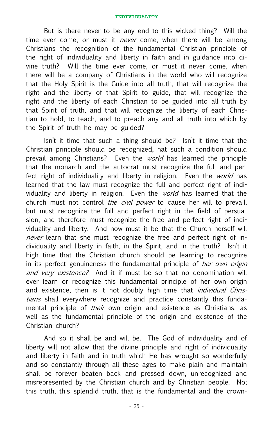But is there never to be any end to this wicked thing? Will the time ever come, or must it *never* come, when there will be among Christians the recognition of the fundamental Christian principle of the right of individuality and liberty in faith and in guidance into divine truth? Will the time ever come, or must it never come, when there will be a company of Christians in the world who will recognize that the Holy Spirit is the Guide into all truth, that will recognize the right and the liberty of that Spirit to guide, that will recognize the right and the liberty of each Christian to be guided into all truth by that Spirit of truth, and that will recognize the liberty of each Christian to hold, to teach, and to preach any and all truth into which by the Spirit of truth he may be guided?

Isn't it time that such a thing should be? Isn't it time that the Christian principle should be recognized, hat such a condition should prevail among Christians? Even the *world* has learned the principle that the monarch and the autocrat must recognize the full and perfect right of individuality and liberty in religion. Even the world has learned that the law must recognize the full and perfect right of individuality and liberty in religion. Even the *world* has learned that the church must not control *the civil power* to cause her will to prevail, but must recognize the full and perfect right in the field of persuasion, and therefore must recognize the free and perfect right of individuality and liberty. And now must it be that the Church herself will never learn that she must recognize the free and perfect right of individuality and liberty in faith, in the Spirit, and in the truth? Isn't it high time that the Christian church should be learning to recognize in its perfect genuineness the fundamental principle of *her own origin* and very existence? And it if must be so that no denomination will ever learn or recognize this fundamental principle of her own origin and existence, then is it not doubly high time that *individual Chris*tians shall everywhere recognize and practice constantly this fundamental principle of their own origin and existence as Christians, as well as the fundamental principle of the origin and existence of the Christian church?

And so it shall be and will be. The God of individuality and of liberty will not allow that the divine principle and right of individuality and liberty in faith and in truth which He has wrought so wonderfully and so constantly through all these ages to make plain and maintain shall be forever beaten back and pressed down, unrecognized and misrepresented by the Christian church and by Christian people. No; this truth, this splendid truth, that is the fundamental and the crown-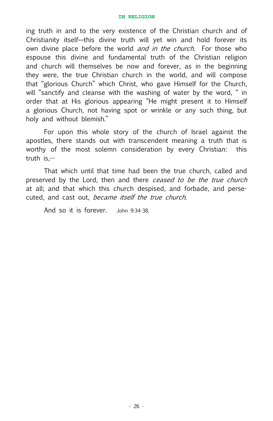ing truth in and to the very existence of the Christian church and of Christianity itself—this divine truth will yet win and hold forever its own divine place before the world *and in the church*. For those who espouse this divine and fundamental truth of the Christian religion and church will themselves be now and forever, as in the beginning they were, the true Christian church in the world, and will compose that "glorious Church" which Christ, who gave Himself for the Church, will "sanctify and cleanse with the washing of water by the word, " in order that at His glorious appearing "He might present it to Himself a glorious Church, not having spot or wrinkle or any such thing, but holy and without blemish."

For upon this whole story of the church of Israel against the apostles, there stands out with transcendent meaning a truth that is worthy of the most solemn consideration by every Christian: this truth is,--

That which until that time had been the true church, called and preserved by the Lord, then and there ceased to be the true church at all; and that which this church despised, and forbade, and persecuted, and cast out, became itself the true church.

And so it is forever. John 9:34-38.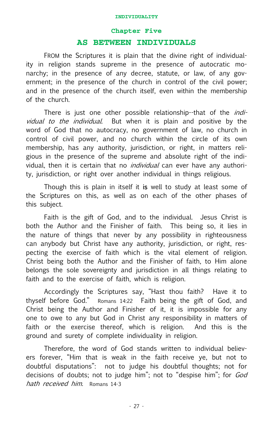#### **Chapter Five**

#### **AS BETWEEN INDIVIDUALS**

FROM the Scriptures it is plain that the divine right of individuality in religion stands supreme in the presence of autocratic monarchy; in the presence of any decree, statute, or law, of any government; in the presence of the church in control of the civil power; and in the presence of the church itself, even within the membership of the church.

There is just one other possible relationship--that of the *indi*vidual to the *individual*. But when it is plain and positive by the word of God that no autocracy, no government of law, no church in control of civil power, and no church within the circle of its own membership, has any authority, jurisdiction, or right, in matters religious in the presence of the supreme and absolute right of the individual, then it is certain that no *individual* can ever have any authority, jurisdiction, or right over another individual in things religious.

Though this is plain in itself it is well to study at least some of the Scriptures on this, as well as on each of the other phases of this subject.

Faith is the gift of God, and to the individual. Jesus Christ is both the Author and the Finisher of faith. This being so, it lies in the nature of things that never by any possibility in righteousness can anybody but Christ have any authority, jurisdiction, or right, respecting the exercise of faith which is the vital element of religion. Christ being both the Author and the Finisher of faith, to Him alone belongs the sole sovereignty and jurisdiction in all things relating to faith and to the exercise of faith, which is religion.

Accordingly the Scriptures say, "Hast thou faith? Have it to thyself before God." Romans 14:22 Faith being the gift of God, and Christ being the Author and Finisher of it, it is impossible for any one to owe to any but God in Christ any responsibility in matters of faith or the exercise thereof, which is religion. And this is the ground and surety of complete individuality in religion.

Therefore, the word of God stands written to individual believers forever, "Him that is weak in the faith receive ye, but not to doubtful disputations": not to judge his doubtful thoughts; not for decisions of doubts; not to judge him"; not to "despise him"; for God hath received him. Romans 14-3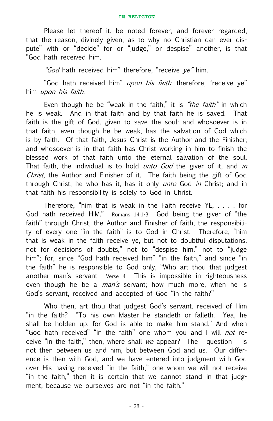Please let thereof it. be noted forever, and forever regarded, that the reason, divinely given, as to why no Christian can ever dispute" with or "decide" for or "judge," or despise" another, is that "God hath received him.

"God hath received him" therefore, "receive ye" him.

"God hath received him" upon his faith, therefore, "receive ye" him upon his faith.

Even though he be "weak in the faith," it is "the faith" in which he is weak. And in that faith and by that faith he is saved. That faith is the gift of God, given to save the soul: and whosoever is in that faith, even though he be weak, has the salvation of God which is by faith. Of that faith, Jesus Christ is the Author and the Finisher; and whosoever is in that faith has Christ working in him to finish the blessed work of that faith unto the eternal salvation of the soul. That faith, the individual is to hold *unto God* the giver of it, and *in* Christ, the Author and Finisher of it. The faith being the gift of God through Christ, he who has it, has it only *unto* God *in* Christ; and in that faith his responsibility is solely to God in Christ.

Therefore, "him that is weak in the Faith receive YE, . . . . for God hath received HIM." Romans 14:1-3 God being the giver of "the faith" through Christ, the Author and Finisher of faith, the responsibility of every one "in the faith" is to God in Christ. Therefore, "him that is weak in the faith receive ye, but not to doubtful disputations, not for decisions of doubts," not to "despise him," not to "judge him"; for, since "God hath received him" "in the faith," and since "in the faith" he is responsible to God only, "Who art thou that judgest another man's servant Verse 4 This is impossible in righteousness even though he be a  $man's$  servant; how much more, when he is God's servant, received and accepted of God "in the faith?"

Who then, art thou that judgest God's servant, received of Him "in the faith? "To his own Master he standeth or falleth. Yea, he shall be holden up, for God is able to make him stand." And when "God hath received" "in the faith" one whom you and I will *not* receive "in the faith," then, where shall we appear? The question is not then between us and him, but between God and us. Our difference is then with God, and we have entered into judgment with God over His having received "in the faith," one whom we will not receive "in the faith," then it is certain that we cannot stand in that judgment; because we ourselves are not "in the faith."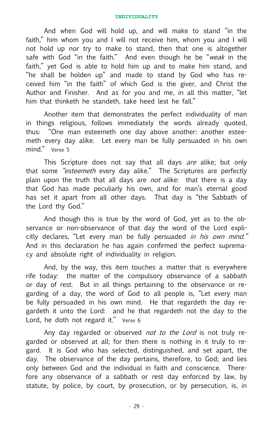And when God will hold up, and will make to stand "in the faith," him whom you and I will not receive him, whom you and I will not hold up nor try to make to stand, then that one is altogether safe with God "in the faith." And even though he be "*weak* in the faith," yet God is able to hold him up and to make him stand, and "he shall be holden up" and made to stand by God who has received him "in the faith" of which God is the giver, and Christ the Author and Finisher. And as for you and me, in all this matter, "let him that thinketh he standeth, take heed lest he fall."

Another item that demonstrates the perfect individuality of man in things religious, follows immediately the words already quoted, thus: "One man esteemeth one day above another: another esteemeth every day alike. Let every man be fully persuaded in his own mind." Verse 5

This Scripture does not say that all days are alike; but only that some "esteemeth every day alike." The Scriptures are perfectly plain upon the truth that all days are *not* alike: that there is a day that God has made peculiarly his own, and for man's eternal good has set it apart from all other days. That day is "the Sabbath of the Lord thy God."

And though this is true by the word of God, yet as to the observance or non-observance of that day the word of the Lord explicitly declares, "Let every man be fully persuaded in his own mind." And in this declaration he has again confirmed the perfect supremacy and absolute right of individuality in religion.

And, by the way, this item touches a matter that is everywhere rife today: the matter of the compulsory observance of a sabbath or day of rest. But in all things pertaining to the observance or regarding of a day, the word of God to all people is, "Let every man be fully persuaded in his own mind. He that regardeth the day regardeth it unto the Lord: and he that regardeth not the day to the Lord, he doth not regard it." Verse 6

Any day regarded or observed not to the Lord is not truly regarded or observed at all; for then there is nothing in it truly to regard. It is God who has selected, distinguished, and set apart, the day. The observance of the day pertains, therefore, to God; and lies only between God and the individual in faith and conscience. Therefore any observance of a sabbath or rest day enforced by law, by statute, by police, by court, by prosecution, or by persecution, is, in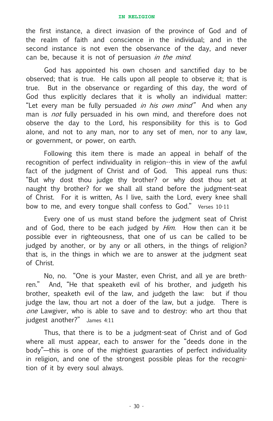the first instance, a direct invasion of the province of God and of the realm of faith and conscience in the individual; and in the second instance is not even the observance of the day, and never can be, because it is not of persuasion in the mind.

God has appointed his own chosen and sanctified day to be observed; that is true. He calls upon all people to observe it; that is true. But in the observance or regarding of this day, the word of God thus explicitly declares that it is wholly an individual matter: "Let every man be fully persuaded in his own mind" And when any man is *not* fully persuaded in his own mind, and therefore does not observe the day to the Lord, his responsibility for this is to God alone, and not to any man, nor to any set of men, nor to any law, or government, or power, on earth.

Following this item there is made an appeal in behalf of the recognition of perfect individuality in religion--this in view of the awful fact of the judgment of Christ and of God. This appeal runs thus: "But why dost thou judge thy brother? or why dost thou set at naught thy brother? for we shall all stand before the judgment-seat of Christ. For it is written, As I live, saith the Lord, every knee shall bow to me, and every tongue shall confess to God." Verses 10-11

Every one of us must stand before the judgment seat of Christ and of God, there to be each judged by *Him*. How then can it be possible ever in righteousness, that one of us can be called to be judged by another, or by any or all others, in the things of religion? that is, in the things in which we are to answer at the judgment seat of Christ.

No, no. "One is your Master, even Christ, and all ye are brethren." And, "He that speaketh evil of his brother, and judgeth his brother, speaketh evil of the law, and judgeth the law: but if thou judge the law, thou art not a doer of the law, but a judge. There is one Lawgiver, who is able to save and to destroy: who art thou that judgest another?" James 4:11

Thus, that there is to be a judgment-seat of Christ and of God where all must appear, each to answer for the "deeds done in the body"—this is one of the mightiest guaranties of perfect individuality in religion, and one of the strongest possible pleas for the recognition of it by every soul always.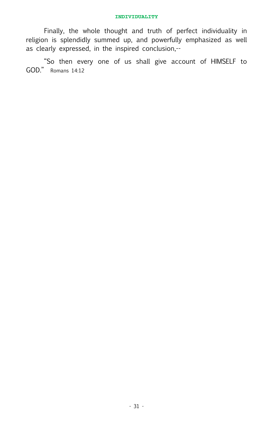Finally, the whole thought and truth of perfect individuality in religion is splendidly summed up, and powerfully emphasized as well as clearly expressed, in the inspired conclusion,--

"So then every one of us shall give account of HIMSELF to GOD." Romans 14:12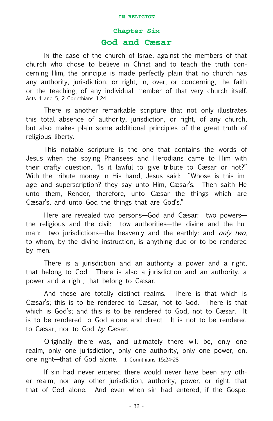### **Chapter Six**

#### **God and Cæsar**

IN the case of the church of Israel against the members of that church who chose to believe in Christ and to teach the truth concerning Him, the principle is made perfectly plain that no church has any authority, jurisdiction, or right, in, over, or concerning, the faith or the teaching, of any individual member of that very church itself. Acts 4 and 5; 2 Corinthians 1:24

There is another remarkable scripture that not only illustrates this total absence of authority, jurisdiction, or right, of any church, but also makes plain some additional principles of the great truth of religious liberty.

This notable scripture is the one that contains the words of Jesus when the spying Pharisees and Herodians came to Him with their crafty question, "Is it lawful to give tribute to Cæsar or not?" With the tribute money in His hand, Jesus said: "Whose is this image and superscription? they say unto Him, Cæsar's. Then saith He unto them, Render, therefore, unto Cæsar the things which are Cæsar's, and unto God the things that are God's."

Here are revealed two persons—God and Cæsar: two powers the religious and the civil: tow authorities—the divine and the human: two jurisdictions—the heavenly and the earthly: and only two, to whom, by the divine instruction, is anything due or to be rendered by men.

There is a jurisdiction and an authority a power and a right, that belong to God. There is also a jurisdiction and an authority, a power and a right, that belong to Cæsar.

And these are totally distinct realms. There is that which is Cæsar's; this is to be rendered to Cæsar, not to God. There is that which is God's; and this is to be rendered to God, not to Cæsar. It is to be rendered to God alone and direct. It is not to be rendered to Cæsar, nor to God by Cæsar.

Originally there was, and ultimately there will be, only one realm, only one jurisdiction, only one authority, only one power, onl one right—that of God alone. 1 Corinthians 15:24-28

If sin had never entered there would never have been any other realm, nor any other jurisdiction, authority, power, or right, that that of God alone. And even when sin had entered, if the Gospel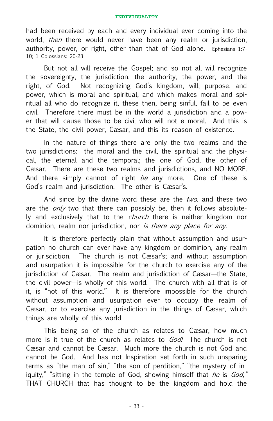had been received by each and every individual ever coming into the world, *then* there would never have been any realm or jurisdiction, authority, power, or right, other than that of God alone. Ephesians 1:7- 10; 1 Colossians: 20-23

But not all will receive the Gospel; and so not all will recognize the sovereignty, the jurisdiction, the authority, the power, and the right, of God. Not recognizing God's kingdom, will, purpose, and power, which is moral and spiritual, and which makes moral and spiritual all who do recognize it, these then, being sinful, fail to be even civil. Therefore there must be in the world a jurisdiction and a power that will cause those to be civil who will not e moral. And this is the State, the civil power, Cæsar; and this its reason of existence.

In the nature of things there are only the two realms and the two jurisdictions: the moral and the civil, the spiritual and the physical, the eternal and the temporal; the one of God, the other of Cæsar. There are these two realms and jurisdictions, and NO MORE. And there simply cannot of right be any more. One of these is God's realm and jurisdiction. The other is Cæsar's.

And since by the divine word these are the two, and these two are the *only* two that there can possibly be, then it follows absolutely and exclusively that to the church there is neither kingdom nor dominion, realm nor jurisdiction, nor is there any place for any.

It is therefore perfectly plain that without assumption and usurpation no church can ever have any kingdom or dominion, any realm or jurisdiction. The church is not Cæsar's; and without assumption and usurpation it is impossible for the church to exercise any of the jurisdiction of Cæsar. The realm and jurisdiction of Cæsar—the State, the civil power—is wholly of this world. The church with all that is of it, is "not of this world." It is therefore impossible for the church without assumption and usurpation ever to occupy the realm of Cæsar, or to exercise any jurisdiction in the things of Cæsar, which things are wholly of this world.

This being so of the church as relates to Cæsar, how much more is it true of the church as relates to God! The church is not Cæsar and cannot be Cæsar. Much more the church is not God and cannot be God. And has not Inspiration set forth in such unsparing terms as "the man of sin," "the son of perdition," "the mystery of iniquity," "sitting in the temple of God, showing himself that he is  $God$ ." THAT CHURCH that has thought to be the kingdom and hold the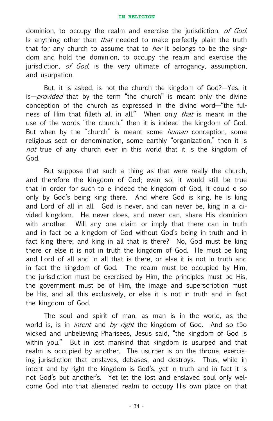dominion, to occupy the realm and exercise the jurisdiction, of God. Is anything other than *that* needed to make perfectly plain the truth that for any church to assume that to *her* it belongs to be the kingdom and hold the dominion, to occupy the realm and exercise the jurisdiction, of God, is the very ultimate of arrogancy, assumption, and usurpation.

But, it is asked, is not the church the kingdom of God?—Yes, it is—*provided* that by the term "the church" is meant only the divine conception of the church as expressed in the divine word—"the fulness of Him that filleth all in all." When only that is meant in the use of the words "the church," then it is indeed the kingdom of God. But when by the "church" is meant some *human* conception, some religious sect or denomination, some earthly "organization," then it is not true of any church ever in this world that it is the kingdom of God.

But suppose that such a thing as that were really the church, and therefore the kingdom of God; even so, it would still be true that in order for such to e indeed the kingdom of God, it could e so only by God's being king there. And where God is king, he is king and Lord of all in all. God is never, and can never be, king in a divided kingdom. He never does, and never can, share His dominion with another. Will any one claim or imply that there can in truth and in fact be a kingdom of God without God's being in truth and in fact king there; and king in all that is there? No, God must be king there or else it is not in truth the kingdom of God. He must be king and Lord of all and in all that is there, or else it is not in truth and in fact the kingdom of God. The realm must be occupied by Him, the jurisdiction must be exercised by Him, the principles must be His, the government must be of Him, the image and superscription must be His, and all this exclusively, or else it is not in truth and in fact the kingdom of God.

The soul and spirit of man, as man is in the world, as the world is, is in *intent* and by right the kingdom of God. And so t5o wicked and unbelieving Pharisees, Jesus said, "the kingdom of God is within you." But in lost mankind that kingdom is usurped and that realm is occupied by another. The usurper is on the throne, exercising jurisdiction that enslaves, debases, and destroys. Thus, while in intent and by right the kingdom is God's, yet in truth and in fact it is not God's but another's. Yet let the lost and enslaved soul only welcome God into that alienated realm to occupy His own place on that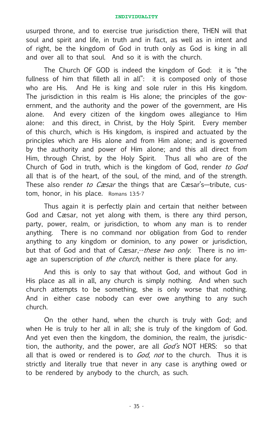usurped throne, and to exercise true jurisdiction there, THEN will that soul and spirit and life, in truth and in fact, as well as in intent and of right, be the kingdom of God in truth only as God is king in all and over all to that soul. And so it is with the church.

The Church OF GOD is indeed the kingdom of God: it is "the fullness of him that filleth all in all": it is composed only of those who are His. And He is king and sole ruler in this His kingdom. The jurisdiction in this realm is His alone; the principles of the government, and the authority and the power of the government, are His alone. And every citizen of the kingdom owes allegiance to Him alone: and this direct, in Christ, by the Holy Spirit. Every member of this church, which is His kingdom, is inspired and actuated by the principles which are His alone and from Him alone; and is governed by the authority and power of Him alone; and this all direct from Him, through Christ, by the Holy Spirit. Thus all who are of the Church of God in truth, which is the kingdom of God, render to God all that is of the heart, of the soul, of the mind, and of the strength. These also render to Casar the things that are Casar's—tribute, custom, honor, in his place. Romans 13:5-7

Thus again it is perfectly plain and certain that neither between God and Cæsar, not yet along with them, is there any third person, party, power, realm, or jurisdiction, to whom any man is to render anything. There is no command nor obligation from God to render anything to any kingdom or dominion, to any power or jurisdiction, but that of God and that of Cæsar,--*these two only*. There is no image an superscription of *the church*, neither is there place for any.

And this is only to say that without God, and without God in His place as all in all, any church is simply nothing. And when such church attempts to be something, she is only worse that nothing. And in either case nobody can ever owe anything to any such church.

On the other hand, when the church is truly with God; and when He is truly to her all in all; she is truly of the kingdom of God. And yet even then the kingdom, the dominion, the realm, the jurisdiction, the authority, and the power, are all  $God's NOT HERS: so that$ all that is owed or rendered is to God, not to the church. Thus it is strictly and literally true that never in any case is anything owed or to be rendered by anybody to the church, as such.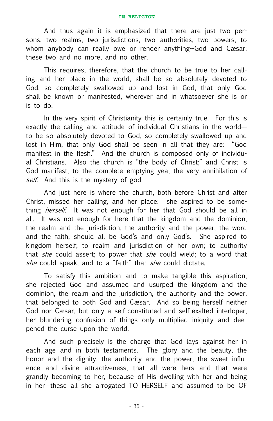And thus again it is emphasized that there are just two persons, two realms, two jurisdictions, two authorities, two powers, to whom anybody can really owe or render anything--God and Cæsar: these two and no more, and no other.

This requires, therefore, that the church to be true to her calling and her place in the world, shall be so absolutely devoted to God, so completely swallowed up and lost in God, that only God shall be known or manifested, wherever and in whatsoever she is or is to do.

In the very spirit of Christianity this is certainly true. For this is exactly the calling and attitude of individual Christians in the world to be so absolutely devoted to God, so completely swallowed up and lost in Him, that only God shall be seen in all that they are: "God manifest in the flesh." And the church is composed only of individual Christians. Also the church is "the body of Christ;" and Christ is God manifest, to the complete emptying yea, the very annihilation of self. And this is the mystery of god.

And just here is where the church, both before Christ and after Christ, missed her calling, and her place: she aspired to be something herself. It was not enough for her that God should be all in all. It was not enough for here that the kingdom and the dominion, the realm and the jurisdiction, the authority and the power, the word and the faith, should all be God's and only God's. She aspired to kingdom herself; to realm and jurisdiction of her own; to authority that *she* could assert; to power that *she* could wield; to a word that she could speak, and to a "faith" that she could dictate.

To satisfy this ambition and to make tangible this aspiration, she rejected God and assumed and usurped the kingdom and the dominion, the realm and the jurisdiction, the authority and the power, that belonged to both God and Cæsar. And so being herself neither God nor Cæsar, but only a self-constituted and self-exalted interloper, her blundering confusion of things only multiplied iniquity and deepened the curse upon the world.

And such precisely is the charge that God lays against her in each age and in both testaments. The glory and the beauty, the honor and the dignity, the authority and the power, the sweet influence and divine attractiveness, that all were hers and that were grandly becoming to her, because of His dwelling with her and being in her—these all she arrogated TO HERSELF and assumed to be OF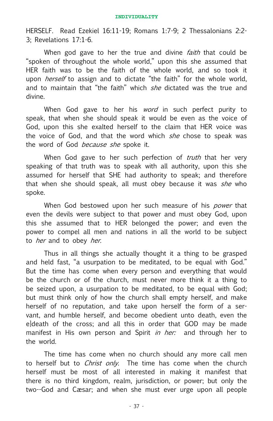HERSELF. Read Ezekiel 16:11-19; Romans 1:7-9; 2 Thessalonians 2:2- 3; Revelations 17:1-6.

When god gave to her the true and divine *faith* that could be "spoken of throughout the whole world," upon this she assumed that HER faith was to be the faith of the whole world, and so took it upon *herself* to assign and to dictate "the faith" for the whole world, and to maintain that "the faith" which *she* dictated was the true and divine.

When God gave to her his *word* in such perfect purity to speak, that when she should speak it would be even as the voice of God, upon this she exalted herself to the claim that HER voice was the voice of God, and that the word which *she* chose to speak was the word of God *because she* spoke it.

When God gave to her such perfection of *truth* that her very speaking of that truth was to speak with all authority, upon this she assumed for herself that SHE had authority to speak; and therefore that when she should speak, all must obey because it was *she* who spoke.

When God bestowed upon her such measure of his *power* that even the devils were subject to that power and must obey God, upon this she assumed that to HER belonged the power; and even the power to compel all men and nations in all the world to be subject to *her* and to obey *her*.

Thus in all things she actually thought it a thing to be grasped and held fast, "a usurpation to be meditated, to be equal with God." But the time has come when every person and everything that would be the church or of the church, must never more think it a thing to be seized upon, a usurpation to be meditated, to be equal with God; but must think only of how the church shall empty herself, and make herself of no reputation, and take upon herself the form of a servant, and humble herself, and become obedient unto death, even the e]death of the cross; and all this in order that GOD may be made manifest in His own person and Spirit in her: and through her to the world.

The time has come when no church should any more call men to herself but to *Christ only*. The time has come when the church herself must be most of all interested in making it manifest that there is no third kingdom, realm, jurisdiction, or power; but only the two--God and Cæsar; and when she must ever urge upon all people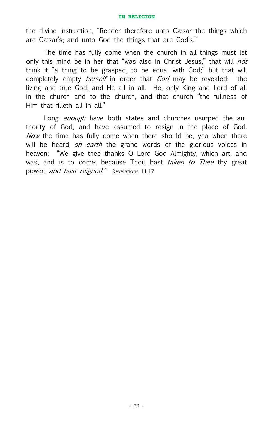the divine instruction, "Render therefore unto Cæsar the things which are Cæsar's; and unto God the things that are God's."

The time has fully come when the church in all things must let only this mind be in her that "was also in Christ Jesus," that will *not* think it "a thing to be grasped, to be equal with God;" but that will completely empty *herself* in order that *God* may be revealed: the living and true God, and He all in all. He, only King and Lord of all in the church and to the church, and that church "the fullness of Him that filleth all in all."

Long enough have both states and churches usurped the authority of God, and have assumed to resign in the place of God. Now the time has fully come when there should be, yea when there will be heard on earth the grand words of the glorious voices in heaven: "We give thee thanks O Lord God Almighty, which art, and was, and is to come; because Thou hast *taken to Thee* thy great power, and hast reigned." Revelations 11:17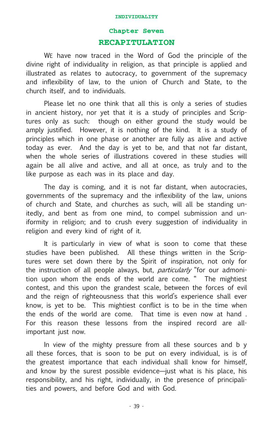### **Chapter Seven RECAPITULATION**

WE have now traced in the Word of God the principle of the divine right of individuality in religion, as that principle is applied and illustrated as relates to autocracy, to government of the supremacy and inflexibility of law, to the union of Church and State, to the church itself, and to individuals.

Please let no one think that all this is only a series of studies in ancient history, nor yet that it is a study of principles and Scriptures only as such: though on either ground the study would be amply justified. However, it is nothing of the kind. It is a study of principles which in one phase or another are fully as alive and active today as ever. And the day is yet to be, and that not far distant, when the whole series of illustrations covered in these studies will again be all alive and active, and all at once, as truly and to the like purpose as each was in its place and day.

The day is coming, and it is not far distant, when autocracies, governments of the supremacy and the inflexibility of the law, unions of church and State, and churches as such, will all be standing unitedly, and bent as from one mind, to compel submission and uniformity in religion; and to crush every suggestion of individuality in religion and every kind of right of it.

It is particularly in view of what is soon to come that these studies have been published. All these things written in the Scriptures were set down there by the Spirit of inspiration, not only for the instruction of all people always, but, *particularly* "for our admonition upon whom the ends of the world are come. " The mightiest contest, and this upon the grandest scale, between the forces of evil and the reign of righteousness that this world's experience shall ever know, is yet to be. This mightiest conflict is to be in the time when the ends of the world are come. That time is even now at hand . For this reason these lessons from the inspired record are allimportant just now.

In view of the mighty pressure from all these sources and b y all these forces, that is soon to be put on every individual, is is of the greatest importance that each individual shall know for himself, and know by the surest possible evidence—just what is his place, his responsibility, and his right, individually, in the presence of principalities and powers, and before God and with God.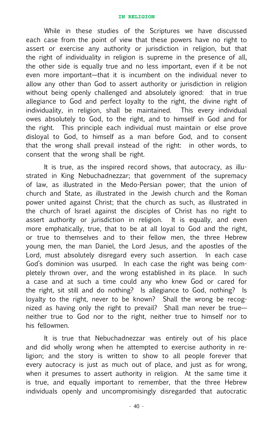While in these studies of the Scriptures we have discussed each case from the point of view that these powers have no right to assert or exercise any authority or jurisdiction in religion, but that the right of individuality in religion is supreme in the presence of all, the other side is equally true and no less important, even if it be not even more important—that it is incumbent on the individual never to allow any other than God to assert authority or jurisdiction in religion without being openly challenged and absolutely ignored: that in true allegiance to God and perfect loyalty to the right, the divine right of individuality, in religion, shall be maintained. This every individual owes absolutely to God, to the right, and to himself in God and for the right. This principle each individual must maintain or else prove disloyal to God, to himself as a man before God, and to consent that the wrong shall prevail instead of the right: in other words, to consent that the wrong shall be right.

It is true, as the inspired record shows, that autocracy, as illustrated in King Nebuchadnezzar; that government of the supremacy of law, as illustrated in the Medo-Persian power; that the union of church and State, as illustrated in the Jewish church and the Roman power united against Christ; that the church as such, as illustrated in the church of Israel against the disciples of Christ has no right to assert authority or jurisdiction in religion. It is equally, and even more emphatically, true, that to be at all loyal to God and the right, or true to themselves and to their fellow men, the three Hebrew young men, the man Daniel, the Lord Jesus, and the apostles of the Lord, must absolutely disregard every such assertion. In each case God's dominion was usurped. In each case the right was being completely thrown over, and the wrong established in its place. In such a case and at such a time could any who knew God or cared for the right, sit still and do nothing? Is allegiance to God, nothing? Is loyalty to the right, never to be known? Shall the wrong be recognized as having only the right to prevail? Shall man never be true neither true to God nor to the right, neither true to himself nor to his fellowmen.

It is true that Nebuchadnezzar was entirely out of his place and did wholly wrong when he attempted to exercise authority in religion; and the story is written to show to all people forever that every autocracy is just as much out of place, and just as for wrong, when it presumes to assert authority in religion. At the same time it is true, and equally important to remember, that the three Hebrew individuals openly and uncompromisingly disregarded that autocratic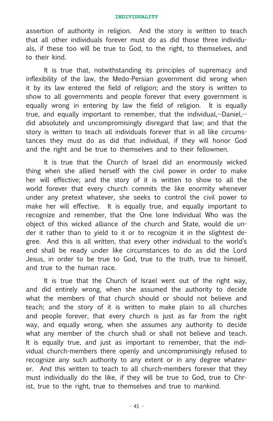assertion of authority in religion. And the story is written to teach that all other individuals forever must do as did those three individuals, if these too will be true to God, to the right, to themselves, and to their kind.

It is true that, notwithstanding its principles of supremacy and inflexibility of the law, the Medo-Persian government did wrong when it by its law entered the field of religion; and the story is written to show to all governments and people forever that every government is equally wrong in entering by law the field of religion. It is equally true, and equally important to remember, that the individual,--Daniel,- did absolutely and uncompromisingly disregard that law; and that the story is written to teach all individuals forever that in all like circumstances they must do as did that individual, if they will honor God and the right and be true to themselves and to their fellowmen.

It is true that the Church of Israel did an enormously wicked thing when she allied herself with the civil power in order to make her will effective; and the story of it is written to show to all the world forever that every church commits the like enormity whenever under any pretext whatever, she seeks to control the civil power to make her will effective. It is equally true, and equally important to recognize and remember, that the One lone Individual Who was the object of this wicked alliance of the church and State, would die under it rather than to yield to it or to recognize it in the slightest degree. And this is all written, that every other individual to the world's end shall be ready under like circumstances to do as did the Lord Jesus, in order to be true to God, true to the truth, true to himself, and true to the human race.

It is true that the Church of Israel went out of the right way, and did entirely wrong, when she assumed the authority to decide what the members of that church should or should not believe and teach; and the story of it is written to make plain to all churches and people forever, that every church is just as far from the right way, and equally wrong, when she assumes any authority to decide what any member of the church shall or shall not believe and teach. It is equally true, and just as important to remember, that the individual church-members there openly and uncompromisingly refused to recognize any such authority to any extent or in any degree whatever. And this written to teach to all church-members forever that they must individually do the like, if they will be true to God, true to Christ, true to the right, true to themselves and true to mankind.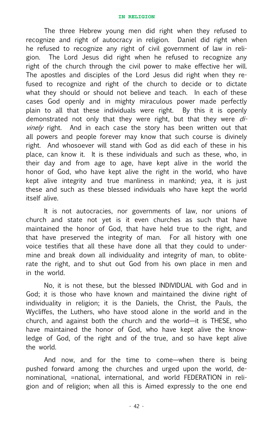The three Hebrew young men did right when they refused to recognize and right of autocracy in religion. Daniel did right when he refused to recognize any right of civil government of law in religion. The Lord Jesus did right when he refused to recognize any right of the church through the civil power to make effective her will. The apostles and disciples of the Lord Jesus did right when they refused to recognize and right of the church to decide or to dictate what they should or should not believe and teach. In each of these cases God openly and in mighty miraculous power made perfectly plain to all that these individuals were right. By this it is openly demonstrated not only that they were right, but that they were *di*vinely right. And in each case the story has been written out that all powers and people forever may know that such course is divinely right. And whosoever will stand with God as did each of these in his place, can know it. It is these individuals and such as these, who, in their day and from age to age, have kept alive in the world the honor of God, who have kept alive the right in the world, who have kept alive integrity and true manliness in mankind; yea, it is just these and such as these blessed individuals who have kept the world itself alive.

It is not autocracies, nor governments of law, nor unions of church and state not yet is it even churches as such that have maintained the honor of God, that have held true to the right, and that have preserved the integrity of man. For all history with one voice testifies that all these have done all that they could to undermine and break down all individuality and integrity of man, to obliterate the right, and to shut out God from his own place in men and in the world.

No, it is not these, but the blessed INDIVIDUAL with God and in God; it is those who have known and maintained the divine right of individuality in religion; it is the Daniels, the Christ, the Pauls, the Wycliffes, the Luthers, who have stood alone in the world and in the church, and against both the church and the world—it is THESE, who have maintained the honor of God, who have kept alive the knowledge of God, of the right and of the true, and so have kept alive the world.

And now, and for the time to come—when there is being pushed forward among the churches and urged upon the world, denominational, =national, international, and world FEDERATION in religion and of religion; when all this is Aimed expressly to the one end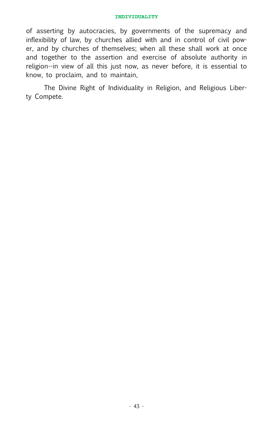of asserting by autocracies, by governments of the supremacy and inflexibility of law, by churches allied with and in control of civil power, and by churches of themselves; when all these shall work at once and together to the assertion and exercise of absolute authority in religion--in view of all this just now, as never before, it is essential to know, to proclaim, and to maintain,

The Divine Right of Individuality in Religion, and Religious Liberty Compete.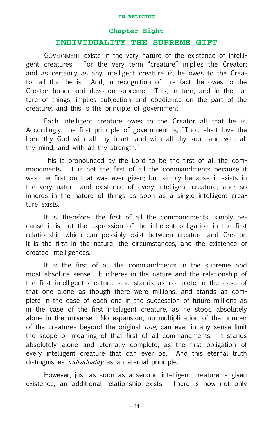#### **Chapter Eight**

#### **INDIVIDUALITY THE SUPREME GIFT**

GOVERNMENT exists in the very nature of the existence of intelligent creatures. For the very term "creature" implies the Creator; and as certainly as any intelligent creature is, he owes to the Creator all that he is. And, in recognition of this fact, he owes to the Creator honor and devotion supreme. This, in turn, and in the nature of things, implies subjection and obedience on the part of the creature; and this is the principle of government.

Each intelligent creature owes to the Creator all that he is. Accordingly, the first principle of government is, "Thou shalt love the Lord thy God with all thy heart, and with all thy soul, and with all thy mind, and with all thy strength."

This is pronounced by the Lord to be the first of all the commandments. It is not the first of all the commandments because it was the first on that was ever given; but simply because it exists in the very nature and existence of every intelligent creature, and; so inheres in the nature of things as soon as a single intelligent creature exists.

It is, therefore, the first of all the commandments, simply because it is but the expression of the inherent obligation in the first relationship which can possibly exist between creature and Creator. It is the first in the nature, the circumstances, and the existence of created intelligences.

It is the first of all the commandments in the supreme and most absolute sense. It inheres in the nature and the relationship of the first intelligent creature, and stands as complete in the case of that one alone as though there were millions; and stands as complete in the case of each one in the succession of future millions as in the case of the first intelligent creature, as he stood absolutely alone in the universe. No expansion, no multiplication of the number of the creatures beyond the original *one*, can ever in any sense limit the scope or meaning of that first of all commandments. It stands absolutely alone and eternally complete, as the first obligation of every intelligent creature that can ever be. And this eternal truth distinguishes *individuality* as an eternal principle.

However, just as soon as a second intelligent creature is given existence, an additional relationship exists. There is now not only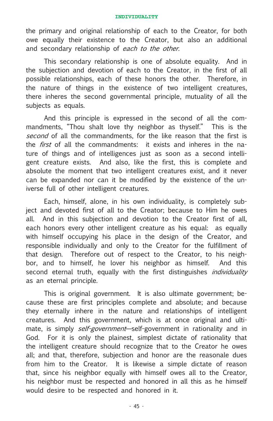the primary and original relationship of each to the Creator, for both owe equally their existence to the Creator, but also an additional and secondary relationship of each to the other.

This secondary relationship is one of absolute equality. And in the subjection and devotion of each to the Creator, in the first of all possible relationships, each of these honors the other. Therefore, in the nature of things in the existence of two intelligent creatures, there inheres the second governmental principle, mutuality of all the subjects as equals.

And this principle is expressed in the second of all the commandments, "Thou shalt love thy neighbor as thyself." This is the second of all the commandments, for the like reason that the first is the *first* of all the commandments: it exists and inheres in the nature of things and of intelligences just as soon as a second intelligent creature exists. And also, like the first, this is complete and absolute the moment that two intelligent creatures exist, and it never can be expanded nor can it be modified by the existence of the universe full of other intelligent creatures.

Each, himself, alone, in his own individuality, is completely subject and devoted first of all to the Creator; because to Him he owes all. And in this subjection and devotion to the Creator first of all, each honors every other intelligent creature as his equal: as equally with himself occupying his place in the design of the Creator, and responsible individually and only to the Creator for the fulfillment of that design. Therefore out of respect to the Creator, to his neighbor, and to himself, he lover his neighbor as himself. And this second eternal truth, equally with the first distinguishes *individuality* as an eternal principle.

This is original government. It is also ultimate government; because these are first principles complete and absolute; and because they eternally inhere in the nature and relationships of intelligent creatures. And this government, which is at once original and ultimate, is simply *self-government*—self-government in rationality and in God. For it is only the plainest, simplest dictate of rationality that the intelligent creature should recognize that to the Creator he owes all; and that, therefore, subjection and honor are the reasonale dues from him to the Creator. It is likewise a simple dictate of reason that, since his neighbor equally with himself owes all to the Creator, his neighbor must be respected and honored in all this as he himself would desire to be respected and honored in it.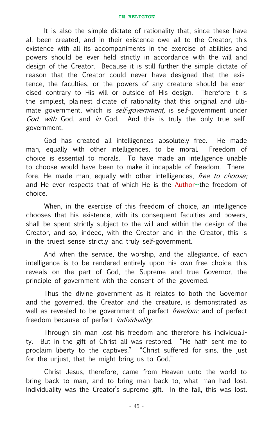It is also the simple dictate of rationality that, since these have all been created, and in their existence owe all to the Creator, this existence with all its accompaniments in the exercise of abilities and powers should be ever held strictly in accordance with the will and design of the Creator. Because it is still further the simple dictate of reason that the Creator could never have designed that the existence, the faculties, or the powers of any creature should be exercised contrary to His will or outside of His design. Therefore it is the simplest, plainest dictate of rationality that this original and ultimate government, which is *self-government*, is self-government under God, with God, and in God. And this is truly the only true selfgovernment.

God has created all intelligences absolutely free. He made man, equally with other intelligences, to be moral. Freedom of choice is essential to morals. To have made an intelligence unable to choose would have been to make it incapable of freedom. Therefore, He made man, equally with other intelligences, free to choose; and He ever respects that of which He is the Author--the freedom of choice.

When, in the exercise of this freedom of choice, an intelligence chooses that his existence, with its consequent faculties and powers, shall be spent strictly subject to the will and within the design of the Creator, and so, indeed, with the Creator and in the Creator, this is in the truest sense strictly and truly self-government.

And when the service, the worship, and the allegiance, of each intelligence is to be rendered entirely upon his own free choice, this reveals on the part of God, the Supreme and true Governor, the principle of government with the consent of the governed.

Thus the divine government as it relates to both the Governor and the governed, the Creator and the creature, is demonstrated as well as revealed to be government of perfect *freedom*; and of perfect freedom because of perfect *individuality*.

Through sin man lost his freedom and therefore his individuality. But in the gift of Christ all was restored. "He hath sent me to proclaim liberty to the captives." "Christ suffered for sins, the just for the unjust, that he might bring us to God."

Christ Jesus, therefore, came from Heaven unto the world to bring back to man, and to bring man back to, what man had lost. Individuality was the Creator's supreme gift. In the fall, this was lost.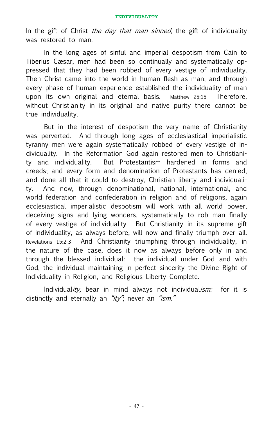In the gift of Christ the day that man sinned, the gift of individuality was restored to man.

In the long ages of sinful and imperial despotism from Cain to Tiberius Cæsar, men had been so continually and systematically oppressed that they had been robbed of every vestige of individuality. Then Christ came into the world in human flesh as man, and through every phase of human experience established the individuality of man upon its own original and eternal basis. Matthew 25:15 Therefore, without Christianity in its original and native purity there cannot be true individuality.

But in the interest of despotism the very name of Christianity was perverted. And through long ages of ecclesiastical imperialistic tyranny men were again systematically robbed of every vestige of individuality. In the Reformation God again restored men to Christianity and individuality. But Protestantism hardened in forms and creeds; and every form and denomination of Protestants has denied, and done all that it could to destroy, Christian liberty and individuality. And now, through denominational, national, international, and world federation and confederation in religion and of religions, again ecclesiastical imperialistic despotism will work with all world power, deceiving signs and lying wonders, systematically to rob man finally of every vestige of individuality. But Christianity in its supreme gift of individuality, as always before, will now and finally triumph over all. Revelations 15:2-3 And Christianity triumphing through individuality, in the nature of the case, does it now as always before only in and through the blessed individual: the individual under God and with God, the individual maintaining in perfect sincerity the Divine Right of Individuality in Religion, and Religious Liberty Complete.

Individuality, bear in mind always not individualism: for it is distinctly and eternally an " $ity$ "; never an " $ism$ ."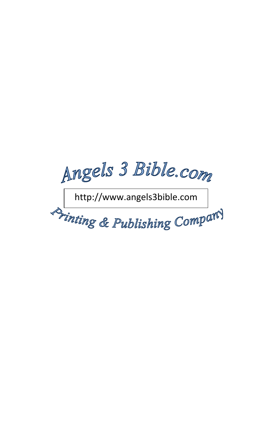Angels 3 Bible.com

http://www.angels3bible.com

Drinting & Publishing Company